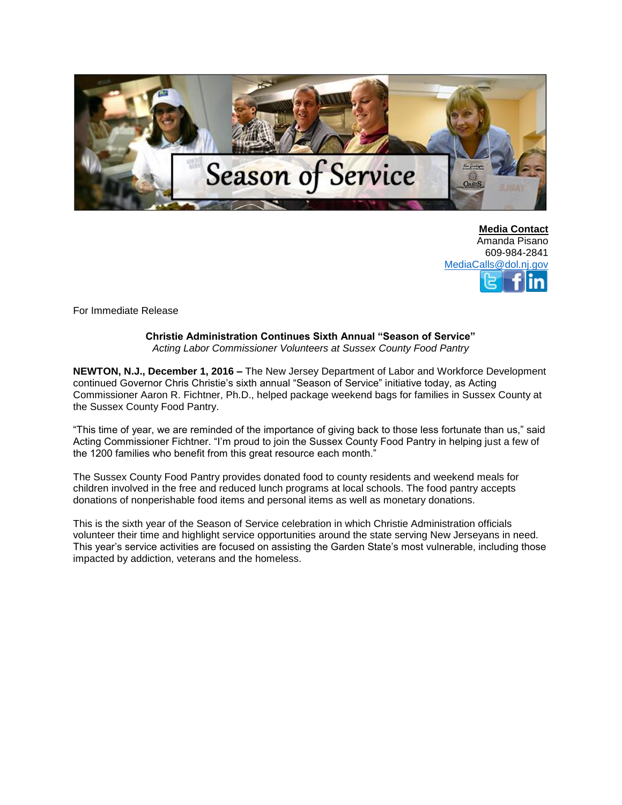

**Media Contact** Amanda Pisano 609-984-2841 [MediaCalls@dol.nj.gov](mailto:MediaCalls@dol.nj.gov)

For Immediate Release

## **Christie Administration Continues Sixth Annual "Season of Service"** *Acting Labor Commissioner Volunteers at Sussex County Food Pantry*

**NEWTON, N.J., December 1, 2016 –** The New Jersey Department of Labor and Workforce Development continued Governor Chris Christie's sixth annual "Season of Service" initiative today, as Acting Commissioner Aaron R. Fichtner, Ph.D., helped package weekend bags for families in Sussex County at the Sussex County Food Pantry.

"This time of year, we are reminded of the importance of giving back to those less fortunate than us," said Acting Commissioner Fichtner. "I'm proud to join the Sussex County Food Pantry in helping just a few of the 1200 families who benefit from this great resource each month."

The Sussex County Food Pantry provides donated food to county residents and weekend meals for children involved in the free and reduced lunch programs at local schools. The food pantry accepts donations of nonperishable food items and personal items as well as monetary donations.

This is the sixth year of the Season of Service celebration in which Christie Administration officials volunteer their time and highlight service opportunities around the state serving New Jerseyans in need. This year's service activities are focused on assisting the Garden State's most vulnerable, including those impacted by addiction, veterans and the homeless.